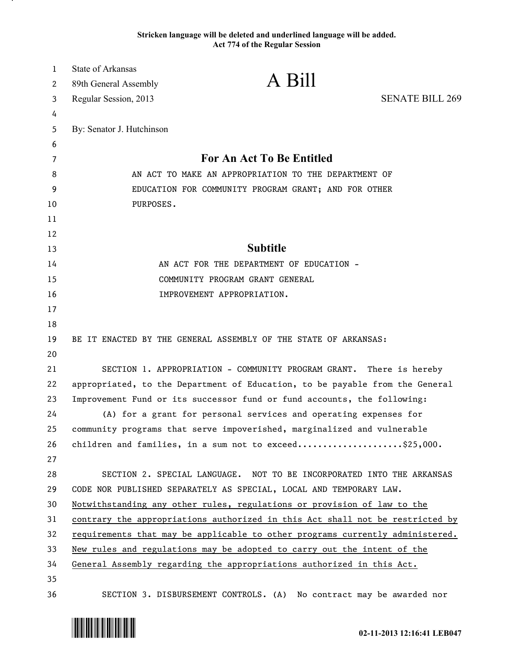## **Stricken language will be deleted and underlined language will be added. Act 774 of the Regular Session**

| 1  | <b>State of Arkansas</b>                             |                                                                               |                        |
|----|------------------------------------------------------|-------------------------------------------------------------------------------|------------------------|
| 2  | 89th General Assembly                                | A Bill                                                                        |                        |
| 3  | Regular Session, 2013                                |                                                                               | <b>SENATE BILL 269</b> |
| 4  |                                                      |                                                                               |                        |
| 5  | By: Senator J. Hutchinson                            |                                                                               |                        |
| 6  |                                                      |                                                                               |                        |
| 7  | For An Act To Be Entitled                            |                                                                               |                        |
| 8  | AN ACT TO MAKE AN APPROPRIATION TO THE DEPARTMENT OF |                                                                               |                        |
| 9  |                                                      | EDUCATION FOR COMMUNITY PROGRAM GRANT; AND FOR OTHER                          |                        |
| 10 | PURPOSES.                                            |                                                                               |                        |
| 11 |                                                      |                                                                               |                        |
| 12 |                                                      |                                                                               |                        |
| 13 |                                                      | <b>Subtitle</b>                                                               |                        |
| 14 |                                                      | AN ACT FOR THE DEPARTMENT OF EDUCATION -                                      |                        |
| 15 |                                                      | COMMUNITY PROGRAM GRANT GENERAL                                               |                        |
| 16 |                                                      | IMPROVEMENT APPROPRIATION.                                                    |                        |
| 17 |                                                      |                                                                               |                        |
| 18 |                                                      |                                                                               |                        |
| 19 |                                                      | BE IT ENACTED BY THE GENERAL ASSEMBLY OF THE STATE OF ARKANSAS:               |                        |
| 20 |                                                      |                                                                               |                        |
| 21 |                                                      | SECTION 1. APPROPRIATION - COMMUNITY PROGRAM GRANT. There is hereby           |                        |
| 22 |                                                      | appropriated, to the Department of Education, to be payable from the General  |                        |
| 23 |                                                      | Improvement Fund or its successor fund or fund accounts, the following:       |                        |
| 24 |                                                      | (A) for a grant for personal services and operating expenses for              |                        |
| 25 |                                                      | community programs that serve impoverished, marginalized and vulnerable       |                        |
| 26 |                                                      | children and families, in a sum not to exceed\$25,000.                        |                        |
| 27 |                                                      |                                                                               |                        |
| 28 |                                                      | SECTION 2. SPECIAL LANGUAGE. NOT TO BE INCORPORATED INTO THE ARKANSAS         |                        |
| 29 |                                                      | CODE NOR PUBLISHED SEPARATELY AS SPECIAL, LOCAL AND TEMPORARY LAW.            |                        |
| 30 |                                                      | Notwithstanding any other rules, regulations or provision of law to the       |                        |
| 31 |                                                      | contrary the appropriations authorized in this Act shall not be restricted by |                        |
| 32 |                                                      | requirements that may be applicable to other programs currently administered. |                        |
| 33 |                                                      | New rules and regulations may be adopted to carry out the intent of the       |                        |
| 34 |                                                      | General Assembly regarding the appropriations authorized in this Act.         |                        |
| 35 |                                                      |                                                                               |                        |
| 36 |                                                      | SECTION 3. DISBURSEMENT CONTROLS. (A) No contract may be awarded nor          |                        |



.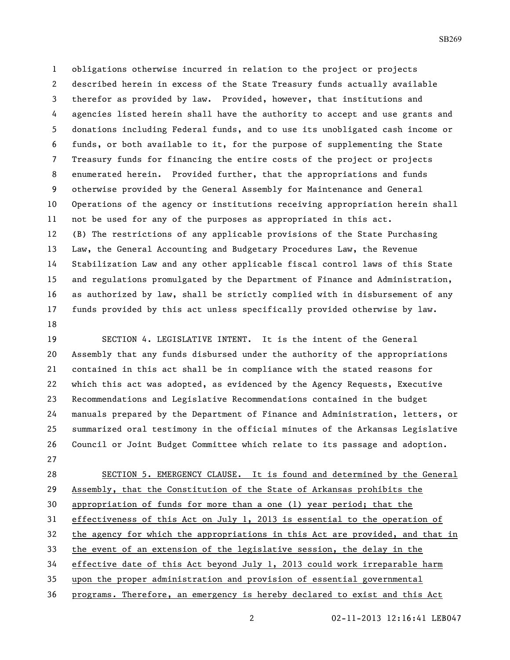obligations otherwise incurred in relation to the project or projects described herein in excess of the State Treasury funds actually available therefor as provided by law. Provided, however, that institutions and agencies listed herein shall have the authority to accept and use grants and donations including Federal funds, and to use its unobligated cash income or funds, or both available to it, for the purpose of supplementing the State Treasury funds for financing the entire costs of the project or projects enumerated herein. Provided further, that the appropriations and funds otherwise provided by the General Assembly for Maintenance and General Operations of the agency or institutions receiving appropriation herein shall not be used for any of the purposes as appropriated in this act. (B) The restrictions of any applicable provisions of the State Purchasing Law, the General Accounting and Budgetary Procedures Law, the Revenue Stabilization Law and any other applicable fiscal control laws of this State and regulations promulgated by the Department of Finance and Administration, as authorized by law, shall be strictly complied with in disbursement of any funds provided by this act unless specifically provided otherwise by law. 

 SECTION 4. LEGISLATIVE INTENT. It is the intent of the General Assembly that any funds disbursed under the authority of the appropriations contained in this act shall be in compliance with the stated reasons for which this act was adopted, as evidenced by the Agency Requests, Executive Recommendations and Legislative Recommendations contained in the budget manuals prepared by the Department of Finance and Administration, letters, or summarized oral testimony in the official minutes of the Arkansas Legislative Council or Joint Budget Committee which relate to its passage and adoption. 

 SECTION 5. EMERGENCY CLAUSE. It is found and determined by the General Assembly, that the Constitution of the State of Arkansas prohibits the appropriation of funds for more than a one (1) year period; that the effectiveness of this Act on July 1, 2013 is essential to the operation of the agency for which the appropriations in this Act are provided, and that in the event of an extension of the legislative session, the delay in the effective date of this Act beyond July 1, 2013 could work irreparable harm upon the proper administration and provision of essential governmental programs. Therefore, an emergency is hereby declared to exist and this Act

02-11-2013 12:16:41 LEB047